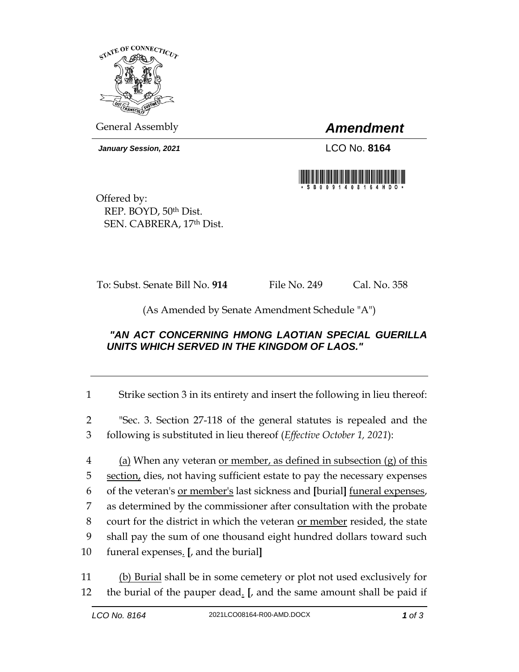

General Assembly *Amendment*

*January Session, 2021* LCO No. **8164**



Offered by: REP. BOYD, 50th Dist. SEN. CABRERA, 17th Dist.

To: Subst. Senate Bill No. **914** File No. 249 Cal. No. 358

(As Amended by Senate Amendment Schedule "A")

## *"AN ACT CONCERNING HMONG LAOTIAN SPECIAL GUERILLA UNITS WHICH SERVED IN THE KINGDOM OF LAOS."*

1 Strike section 3 in its entirety and insert the following in lieu thereof:

2 "Sec. 3. Section 27-118 of the general statutes is repealed and the 3 following is substituted in lieu thereof (*Effective October 1, 2021*):

4 (a) When any veteran <u>or member, as defined in subsection (g) of this</u> section, dies, not having sufficient estate to pay the necessary expenses of the veteran's or member's last sickness and **[**burial**]** funeral expenses, as determined by the commissioner after consultation with the probate 8 court for the district in which the veteran <u>or member</u> resided, the state shall pay the sum of one thousand eight hundred dollars toward such funeral expenses. **[**, and the burial**]**

11 (b) Burial shall be in some cemetery or plot not used exclusively for 12 the burial of the pauper dead. **[**, and the same amount shall be paid if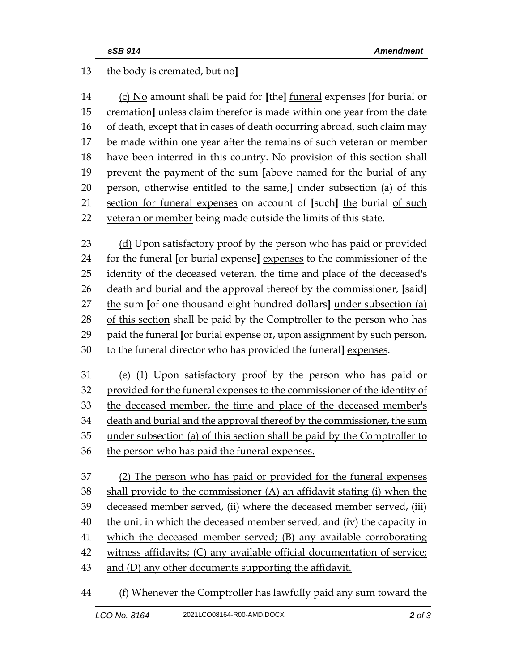## the body is cremated, but no**]**

 (c) No amount shall be paid for **[**the**]** funeral expenses **[**for burial or cremation**]** unless claim therefor is made within one year from the date of death, except that in cases of death occurring abroad, such claim may 17 be made within one year after the remains of such veteran or member have been interred in this country. No provision of this section shall prevent the payment of the sum **[**above named for the burial of any person, otherwise entitled to the same,**]** under subsection (a) of this section for funeral expenses on account of **[**such**]** the burial of such 22 veteran or member being made outside the limits of this state.

23 (d) Upon satisfactory proof by the person who has paid or provided for the funeral **[**or burial expense**]** expenses to the commissioner of the 25 identity of the deceased veteran, the time and place of the deceased's death and burial and the approval thereof by the commissioner, **[**said**]** the sum **[**of one thousand eight hundred dollars**]** under subsection (a) 28 of this section shall be paid by the Comptroller to the person who has paid the funeral **[**or burial expense or, upon assignment by such person, to the funeral director who has provided the funeral**]** expenses.

 (e) (1) Upon satisfactory proof by the person who has paid or provided for the funeral expenses to the commissioner of the identity of the deceased member, the time and place of the deceased member's death and burial and the approval thereof by the commissioner, the sum under subsection (a) of this section shall be paid by the Comptroller to the person who has paid the funeral expenses.

 (2) The person who has paid or provided for the funeral expenses shall provide to the commissioner (A) an affidavit stating (i) when the deceased member served, (ii) where the deceased member served, (iii) 40 the unit in which the deceased member served, and (iv) the capacity in which the deceased member served; (B) any available corroborating witness affidavits; (C) any available official documentation of service; and (D) any other documents supporting the affidavit.

(f) Whenever the Comptroller has lawfully paid any sum toward the